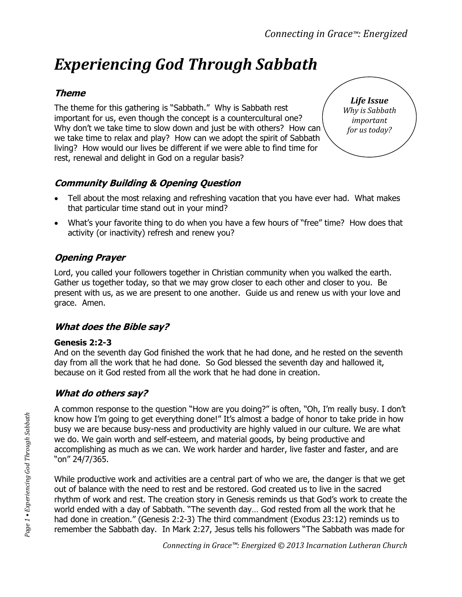# *Experiencing God Through Sabbath*

## **Theme**

The theme for this gathering is "Sabbath." Why is Sabbath rest important for us, even though the concept is a countercultural one? Why don't we take time to slow down and just be with others? How can we take time to relax and play? How can we adopt the spirit of Sabbath living? How would our lives be different if we were able to find time for rest, renewal and delight in God on a regular basis?

*Life Issue Why is Sabbath important for us today?*

# **Community Building & Opening Question**

- Tell about the most relaxing and refreshing vacation that you have ever had. What makes that particular time stand out in your mind?
- What's your favorite thing to do when you have a few hours of "free" time? How does that activity (or inactivity) refresh and renew you?

## **Opening Prayer**

Lord, you called your followers together in Christian community when you walked the earth. Gather us together today, so that we may grow closer to each other and closer to you. Be present with us, as we are present to one another. Guide us and renew us with your love and grace. Amen.

## **What does the Bible say?**

#### **Genesis 2:2-3**

And on the seventh day God finished the work that he had done, and he rested on the seventh day from all the work that he had done. So God blessed the seventh day and hallowed it, because on it God rested from all the work that he had done in creation.

## **What do others say?**

A common response to the question "How are you doing?" is often, "Oh, I'm really busy. I don't know how I'm going to get everything done!" It's almost a badge of honor to take pride in how busy we are because busy-ness and productivity are highly valued in our culture. We are what we do. We gain worth and self-esteem, and material goods, by being productive and accomplishing as much as we can. We work harder and harder, live faster and faster, and are "on" 24/7/365.

While productive work and activities are a central part of who we are, the danger is that we get out of balance with the need to rest and be restored. God created us to live in the sacred rhythm of work and rest. The creation story in Genesis reminds us that God's work to create the world ended with a day of Sabbath. "The seventh day… God rested from all the work that he had done in creation." (Genesis 2:2-3) The third commandment (Exodus 23:12) reminds us to remember the Sabbath day. In Mark 2:27, Jesus tells his followers "The Sabbath was made for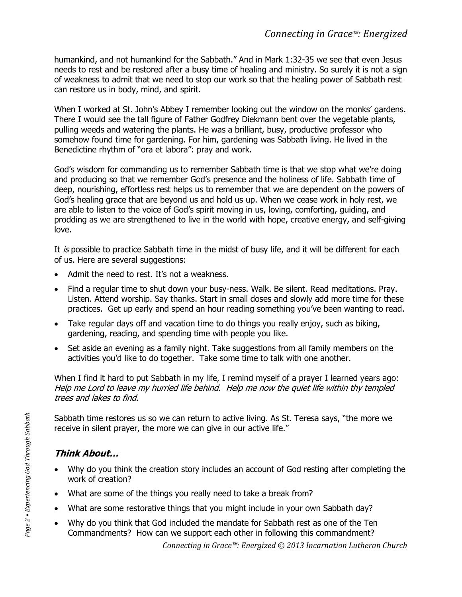humankind, and not humankind for the Sabbath." And in Mark 1:32-35 we see that even Jesus needs to rest and be restored after a busy time of healing and ministry. So surely it is not a sign of weakness to admit that we need to stop our work so that the healing power of Sabbath rest can restore us in body, mind, and spirit.

When I worked at St. John's Abbey I remember looking out the window on the monks' gardens. There I would see the tall figure of Father Godfrey Diekmann bent over the vegetable plants, pulling weeds and watering the plants. He was a brilliant, busy, productive professor who somehow found time for gardening. For him, gardening was Sabbath living. He lived in the Benedictine rhythm of "ora et labora": pray and work.

God's wisdom for commanding us to remember Sabbath time is that we stop what we're doing and producing so that we remember God's presence and the holiness of life. Sabbath time of deep, nourishing, effortless rest helps us to remember that we are dependent on the powers of God's healing grace that are beyond us and hold us up. When we cease work in holy rest, we are able to listen to the voice of God's spirit moving in us, loving, comforting, guiding, and prodding as we are strengthened to live in the world with hope, creative energy, and self-giving love.

It is possible to practice Sabbath time in the midst of busy life, and it will be different for each of us. Here are several suggestions:

- Admit the need to rest. It's not a weakness.
- Find a regular time to shut down your busy-ness. Walk. Be silent. Read meditations. Pray. Listen. Attend worship. Say thanks. Start in small doses and slowly add more time for these practices. Get up early and spend an hour reading something you've been wanting to read.
- Take regular days off and vacation time to do things you really enjoy, such as biking, gardening, reading, and spending time with people you like.
- Set aside an evening as a family night. Take suggestions from all family members on the activities you'd like to do together. Take some time to talk with one another.

When I find it hard to put Sabbath in my life, I remind myself of a prayer I learned years ago: Help me Lord to leave my hurried life behind. Help me now the quiet life within thy templed trees and lakes to find.

Sabbath time restores us so we can return to active living. As St. Teresa says, "the more we receive in silent prayer, the more we can give in our active life."

# **Think About…**

- Why do you think the creation story includes an account of God resting after completing the work of creation?
- What are some of the things you really need to take a break from?
- What are some restorative things that you might include in your own Sabbath day?
- Why do you think that God included the mandate for Sabbath rest as one of the Ten Commandments? How can we support each other in following this commandment?